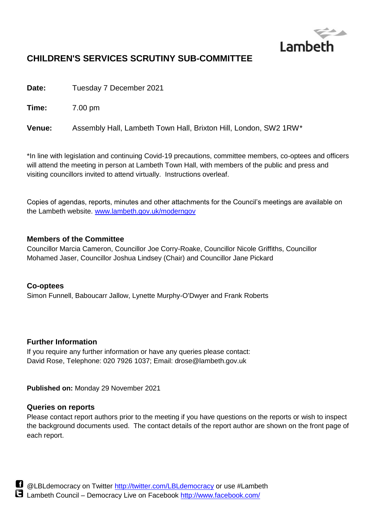

# **CHILDREN'S SERVICES SCRUTINY SUB-COMMITTEE**

**Date:** Tuesday 7 December 2021

**Time:** 7.00 pm

**Venue:** Assembly Hall, Lambeth Town Hall, Brixton Hill, London, SW2 1RW\*

\*In line with legislation and continuing Covid-19 precautions, committee members, co-optees and officers will attend the meeting in person at Lambeth Town Hall, with members of the public and press and visiting councillors invited to attend virtually. Instructions overleaf.

Copies of agendas, reports, minutes and other attachments for the Council's meetings are available on the Lambeth website. [www.lambeth.gov.uk/moderngov](http://www.lambeth.gov.uk/moderngov)

## **Members of the Committee**

Councillor Marcia Cameron, Councillor Joe Corry-Roake, Councillor Nicole Griffiths, Councillor Mohamed Jaser, Councillor Joshua Lindsey (Chair) and Councillor Jane Pickard

## **Co-optees**

Simon Funnell, Baboucarr Jallow, Lynette Murphy-O'Dwyer and Frank Roberts

## **Further Information**

If you require any further information or have any queries please contact: David Rose, Telephone: 020 7926 1037; Email: drose@lambeth.gov.uk

**Published on:** Monday 29 November 2021

## **Queries on reports**

Please contact report authors prior to the meeting if you have questions on the reports or wish to inspect the background documents used. The contact details of the report author are shown on the front page of each report.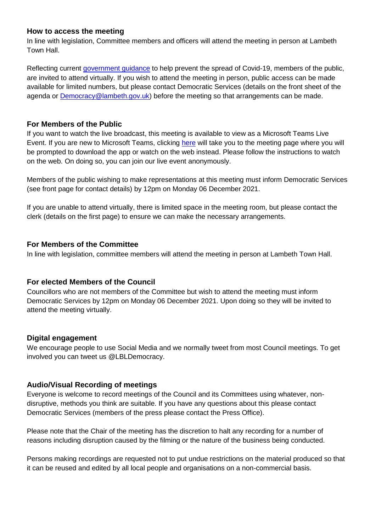#### **How to access the meeting**

In line with legislation, Committee members and officers will attend the meeting in person at Lambeth Town Hall.

Reflecting current [government guidance](https://eur03.safelinks.protection.outlook.com/?url=https%3A%2F%2Fwww.gov.uk%2Fgovernment%2Fpublications%2Fcovid-19-response-summer-2021-roadmap%2Fcoronavirus-how-to-stay-safe-and-help-prevent-the-spread&data=04%7C01%7CDRose%40lambeth.gov.uk%7C920c3366cfe8489ce84508d9477845a3%7Cc4f22780485f4507af4a60a971d6f7fe%7C0%7C0%7C637619404149669062%7CUnknown%7CTWFpbGZsb3d8eyJWIjoiMC4wLjAwMDAiLCJQIjoiV2luMzIiLCJBTiI6Ik1haWwiLCJXVCI6Mn0%3D%7C1000&sdata=qCjZikeU59%2B%2BJyIQQxjY4%2BJUWVugdnzPAJLvDaMv3lY%3D&reserved=0) to help prevent the spread of Covid-19, members of the public, are invited to attend virtually. If you wish to attend the meeting in person, public access can be made available for limited numbers, but please contact Democratic Services (details on the front sheet of the agenda or [Democracy@lambeth.gov.uk\)](mailto:Democracy@lambeth.gov.uk) before the meeting so that arrangements can be made.

#### **For Members of the Public**

If you want to watch the live broadcast, this meeting is available to view as a Microsoft Teams Live Event. If you are new to Microsoft Teams, clicking [here](https://teams.microsoft.com/l/meetup-join/19%3ameeting_YmI4OWMwZTEtNzA0NC00ZTNkLTgxMDAtZTQxN2IwOWNmZjdj%40thread.v2/0?context=%7b%22Tid%22%3a%22c4f22780-485f-4507-af4a-60a971d6f7fe%22%2c%22Oid%22%3a%227be13875-93f9-418e-8f7c-efc6638b3a6d%22%2c%22IsBroadcastMeeting%22%3atrue%7d&btype=a&role=a) will take you to the meeting page where you will be prompted to download the app or watch on the web instead. Please follow the instructions to watch on the web. On doing so, you can join our live event anonymously.

Members of the public wishing to make representations at this meeting must inform Democratic Services (see front page for contact details) by 12pm on Monday 06 December 2021.

If you are unable to attend virtually, there is limited space in the meeting room, but please contact the clerk (details on the first page) to ensure we can make the necessary arrangements.

#### **For Members of the Committee**

In line with legislation, committee members will attend the meeting in person at Lambeth Town Hall.

## **For elected Members of the Council**

Councillors who are not members of the Committee but wish to attend the meeting must inform Democratic Services by 12pm on Monday 06 December 2021. Upon doing so they will be invited to attend the meeting virtually.

## **Digital engagement**

We encourage people to use Social Media and we normally tweet from most Council meetings. To get involved you can tweet us @LBLDemocracy.

## **Audio/Visual Recording of meetings**

Everyone is welcome to record meetings of the Council and its Committees using whatever, nondisruptive, methods you think are suitable. If you have any questions about this please contact Democratic Services (members of the press please contact the Press Office).

Please note that the Chair of the meeting has the discretion to halt any recording for a number of reasons including disruption caused by the filming or the nature of the business being conducted.

Persons making recordings are requested not to put undue restrictions on the material produced so that it can be reused and edited by all local people and organisations on a non-commercial basis.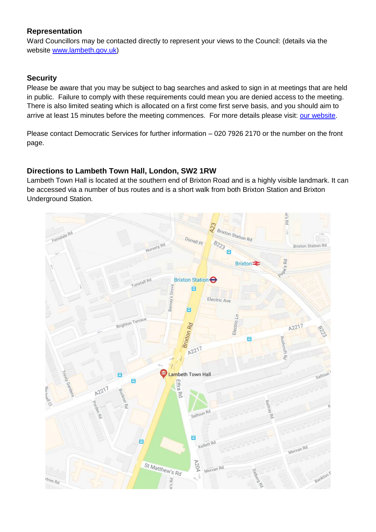## **Representation**

Ward Councillors may be contacted directly to represent your views to the Council: (details via the website [www.lambeth.gov.uk\)](http://www.lambeth.gov.uk/)

# **Security**

Please be aware that you may be subject to bag searches and asked to sign in at meetings that are held in public. Failure to comply with these requirements could mean you are denied access to the meeting. There is also limited seating which is allocated on a first come first serve basis, and you should aim to arrive at least 15 minutes before the meeting commences. For more details please visit: [our website.](http://www.lambeth.gov.uk/elections-and-council/meetings-minutes-and-agendas/getting-involved-in-decision-making-guide)

Please contact Democratic Services for further information – 020 7926 2170 or the number on the front page.

# **Directions to Lambeth Town Hall, London, SW2 1RW**

Lambeth Town Hall is located at the southern end of Brixton Road and is a highly visible landmark. It can be accessed via a number of bus routes and is a short walk from both Brixton Station and Brixton Underground Station.